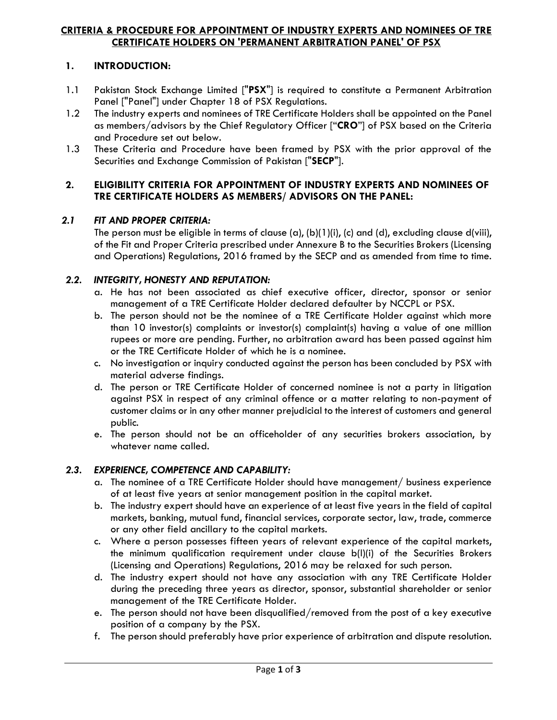#### **CRITERIA & PROCEDURE FOR APPOINTMENT OF INDUSTRY EXPERTS AND NOMINEES OF TRE CERTIFICATE HOLDERS ON 'PERMANENT ARBITRATION PANEL' OF PSX**

## **1. INTRODUCTION:**

- 1.1 Pakistan Stock Exchange Limited ["**PSX**"] is required to constitute a Permanent Arbitration Panel ["Panel"] under Chapter 18 of PSX Regulations.
- 1.2 The industry experts and nominees of TRE Certificate Holders shall be appointed on the Panel as members/advisors by the Chief Regulatory Officer ["**CRO**"] of PSX based on the Criteria and Procedure set out below.
- 1.3 These Criteria and Procedure have been framed by PSX with the prior approval of the Securities and Exchange Commission of Pakistan ["**SECP**"].

#### **2. ELIGIBILITY CRITERIA FOR APPOINTMENT OF INDUSTRY EXPERTS AND NOMINEES OF TRE CERTIFICATE HOLDERS AS MEMBERS/ ADVISORS ON THE PANEL:**

### *2.1 FIT AND PROPER CRITERIA:*

The person must be eligible in terms of clause (a), (b)(1)(i), (c) and (d), excluding clause d(viii), of the Fit and Proper Criteria prescribed under Annexure B to the Securities Brokers (Licensing and Operations) Regulations, 2016 framed by the SECP and as amended from time to time.

### *2.2. INTEGRITY, HONESTY AND REPUTATION:*

- a. He has not been associated as chief executive officer, director, sponsor or senior management of a TRE Certificate Holder declared defaulter by NCCPL or PSX.
- b. The person should not be the nominee of a TRE Certificate Holder against which more than 10 investor(s) complaints or investor(s) complaint(s) having a value of one million rupees or more are pending. Further, no arbitration award has been passed against him or the TRE Certificate Holder of which he is a nominee.
- c. No investigation or inquiry conducted against the person has been concluded by PSX with material adverse findings.
- d. The person or TRE Certificate Holder of concerned nominee is not a party in litigation against PSX in respect of any criminal offence or a matter relating to non-payment of customer claims or in any other manner prejudicial to the interest of customers and general public.
- e. The person should not be an officeholder of any securities brokers association, by whatever name called.

## *2.3. EXPERIENCE, COMPETENCE AND CAPABILITY:*

- a. The nominee of a TRE Certificate Holder should have management/ business experience of at least five years at senior management position in the capital market.
- b. The industry expert should have an experience of at least five years in the field of capital markets, banking, mutual fund, financial services, corporate sector, law, trade, commerce or any other field ancillary to the capital markets.
- c. Where a person possesses fifteen years of relevant experience of the capital markets, the minimum qualification requirement under clause b(l)(i) of the Securities Brokers (Licensing and Operations) Regulations, 2016 may be relaxed for such person.
- d. The industry expert should not have any association with any TRE Certificate Holder during the preceding three years as director, sponsor, substantial shareholder or senior management of the TRE Certificate Holder.
- e. The person should not have been disqualified/removed from the post of a key executive position of a company by the PSX.
- f. The person should preferably have prior experience of arbitration and dispute resolution.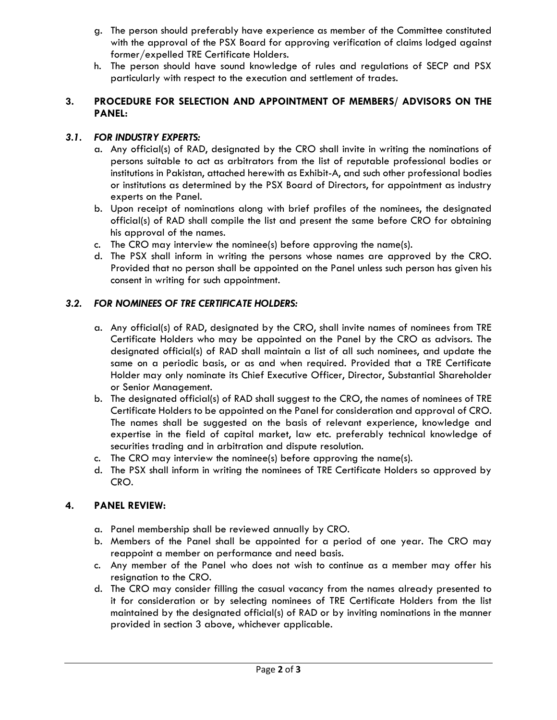- g. The person should preferably have experience as member of the Committee constituted with the approval of the PSX Board for approving verification of claims lodged against former/expelled TRE Certificate Holders.
- h. The person should have sound knowledge of rules and regulations of SECP and PSX particularly with respect to the execution and settlement of trades.

## **3. PROCEDURE FOR SELECTION AND APPOINTMENT OF MEMBERS/ ADVISORS ON THE PANEL:**

## *3.1. FOR INDUSTRY EXPERTS:*

- a. Any official(s) of RAD, designated by the CRO shall invite in writing the nominations of persons suitable to act as arbitrators from the list of reputable professional bodies or institutions in Pakistan, attached herewith as Exhibit-A, and such other professional bodies or institutions as determined by the PSX Board of Directors, for appointment as industry experts on the Panel.
- b. Upon receipt of nominations along with brief profiles of the nominees, the designated official(s) of RAD shall compile the list and present the same before CRO for obtaining his approval of the names.
- c. The CRO may interview the nominee(s) before approving the name(s).
- d. The PSX shall inform in writing the persons whose names are approved by the CRO. Provided that no person shall be appointed on the Panel unless such person has given his consent in writing for such appointment.

# *3.2. FOR NOMINEES OF TRE CERTIFICATE HOLDERS:*

- a. Any official(s) of RAD, designated by the CRO, shall invite names of nominees from TRE Certificate Holders who may be appointed on the Panel by the CRO as advisors. The designated official(s) of RAD shall maintain a list of all such nominees, and update the same on a periodic basis, or as and when required. Provided that a TRE Certificate Holder may only nominate its Chief Executive Officer, Director, Substantial Shareholder or Senior Management.
- b. The designated official(s) of RAD shall suggest to the CRO, the names of nominees of TRE Certificate Holders to be appointed on the Panel for consideration and approval of CRO. The names shall be suggested on the basis of relevant experience, knowledge and expertise in the field of capital market, law etc. preferably technical knowledge of securities trading and in arbitration and dispute resolution.
- c. The CRO may interview the nominee(s) before approving the name(s).
- d. The PSX shall inform in writing the nominees of TRE Certificate Holders so approved by CRO.

## **4. PANEL REVIEW:**

- a. Panel membership shall be reviewed annually by CRO.
- b. Members of the Panel shall be appointed for a period of one year. The CRO may reappoint a member on performance and need basis.
- c. Any member of the Panel who does not wish to continue as a member may offer his resignation to the CRO.
- d. The CRO may consider filling the casual vacancy from the names already presented to it for consideration or by selecting nominees of TRE Certificate Holders from the list maintained by the designated official(s) of RAD or by inviting nominations in the manner provided in section 3 above, whichever applicable.